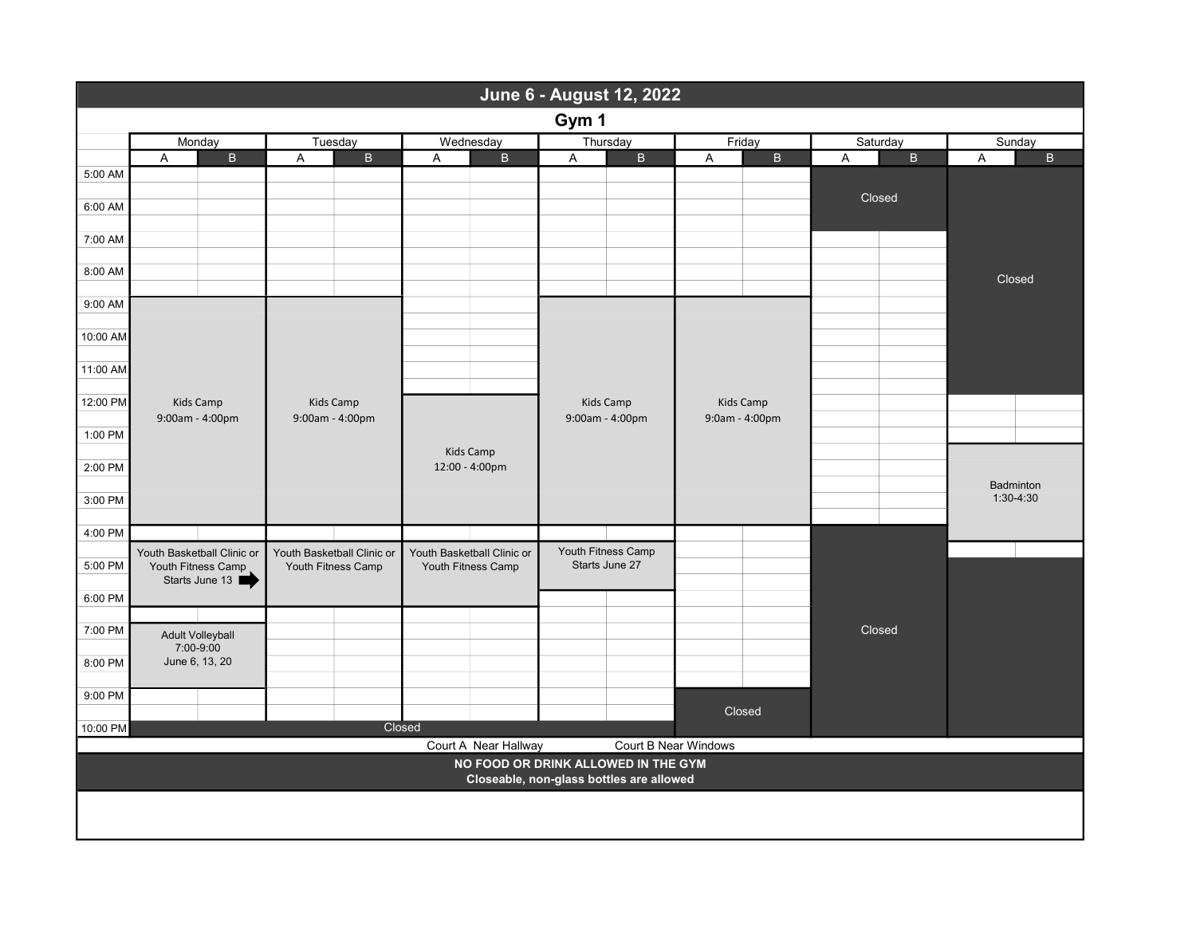| June 6 - August 12, 2022                                                        |        |                                      |                                                  |                              |                                                  |              |                    |                  |                  |           |   |
|---------------------------------------------------------------------------------|--------|--------------------------------------|--------------------------------------------------|------------------------------|--------------------------------------------------|--------------|--------------------|------------------|------------------|-----------|---|
| Gym 1                                                                           |        |                                      |                                                  |                              |                                                  |              |                    |                  |                  |           |   |
|                                                                                 | Monday |                                      | Tuesday                                          |                              | Wednesday                                        |              | Thursday           | Friday           | Saturday         | Sunday    |   |
|                                                                                 | A      | B                                    |                                                  | $\overline{B}$<br>A          |                                                  | $\mathsf{B}$ | B<br>A             | $\mathsf B$<br>A | $\mathsf B$<br>A | A         | B |
| 5:00 AM                                                                         |        |                                      |                                                  |                              |                                                  |              |                    |                  |                  |           |   |
| 6:00 AM                                                                         |        |                                      |                                                  |                              |                                                  |              |                    |                  | Closed           |           |   |
|                                                                                 |        |                                      |                                                  |                              |                                                  |              |                    |                  |                  |           |   |
| 7:00 AM                                                                         |        |                                      |                                                  |                              |                                                  |              |                    |                  |                  |           |   |
| 8:00 AM                                                                         |        |                                      |                                                  |                              |                                                  |              |                    |                  |                  |           |   |
|                                                                                 |        |                                      |                                                  |                              |                                                  |              |                    |                  |                  | Closed    |   |
| 9:00 AM                                                                         |        |                                      |                                                  |                              |                                                  |              |                    |                  |                  |           |   |
| 10:00 AM                                                                        |        |                                      |                                                  |                              |                                                  |              |                    |                  |                  |           |   |
|                                                                                 |        |                                      |                                                  |                              |                                                  |              |                    |                  |                  |           |   |
| 11:00 AM                                                                        |        |                                      |                                                  |                              |                                                  |              |                    |                  |                  |           |   |
| 12:00 PM                                                                        |        | Kids Camp<br>9:00am - 4:00pm         |                                                  | Kids Camp<br>9:00am - 4:00pm |                                                  |              | Kids Camp          | <b>Kids Camp</b> |                  |           |   |
|                                                                                 |        |                                      |                                                  |                              |                                                  |              | 9:00am - 4:00pm    | 9:0am - 4:00pm   |                  |           |   |
| 1:00 PM                                                                         |        |                                      |                                                  |                              | Kids Camp<br>12:00 - 4:00pm                      |              |                    |                  |                  |           |   |
| 2:00 PM                                                                         |        |                                      |                                                  |                              |                                                  |              |                    |                  |                  |           |   |
|                                                                                 |        |                                      |                                                  |                              |                                                  |              |                    |                  |                  | Badminton |   |
| 3:00 PM                                                                         |        |                                      |                                                  |                              |                                                  |              |                    |                  |                  | 1:30-4:30 |   |
| 4:00 PM                                                                         |        |                                      |                                                  |                              |                                                  |              |                    |                  |                  |           |   |
|                                                                                 |        | Youth Basketball Clinic or           | Youth Basketball Clinic or<br>Youth Fitness Camp |                              | Youth Basketball Clinic or<br>Youth Fitness Camp |              | Youth Fitness Camp |                  |                  |           |   |
| 5:00 PM                                                                         |        | Youth Fitness Camp<br>Starts June 13 |                                                  |                              |                                                  |              | Starts June 27     |                  |                  |           |   |
| 6:00 PM                                                                         |        |                                      |                                                  |                              |                                                  |              |                    |                  |                  |           |   |
|                                                                                 |        |                                      |                                                  |                              |                                                  |              |                    |                  |                  |           |   |
| 7:00 PM                                                                         |        | <b>Adult Volleyball</b>              |                                                  |                              |                                                  |              |                    |                  | Closed           |           |   |
| 8:00 PM                                                                         |        | 7:00-9:00<br>June 6, 13, 20          |                                                  |                              |                                                  |              |                    |                  |                  |           |   |
|                                                                                 |        |                                      |                                                  |                              |                                                  |              |                    |                  |                  |           |   |
| 9:00 PM                                                                         |        |                                      |                                                  |                              |                                                  |              |                    | Closed           |                  |           |   |
| 10:00 PM                                                                        |        |                                      |                                                  |                              | Closed                                           |              |                    |                  |                  |           |   |
| Court B Near Windows<br>Court A Near Hallway                                    |        |                                      |                                                  |                              |                                                  |              |                    |                  |                  |           |   |
| NO FOOD OR DRINK ALLOWED IN THE GYM<br>Closeable, non-glass bottles are allowed |        |                                      |                                                  |                              |                                                  |              |                    |                  |                  |           |   |
|                                                                                 |        |                                      |                                                  |                              |                                                  |              |                    |                  |                  |           |   |
|                                                                                 |        |                                      |                                                  |                              |                                                  |              |                    |                  |                  |           |   |
|                                                                                 |        |                                      |                                                  |                              |                                                  |              |                    |                  |                  |           |   |